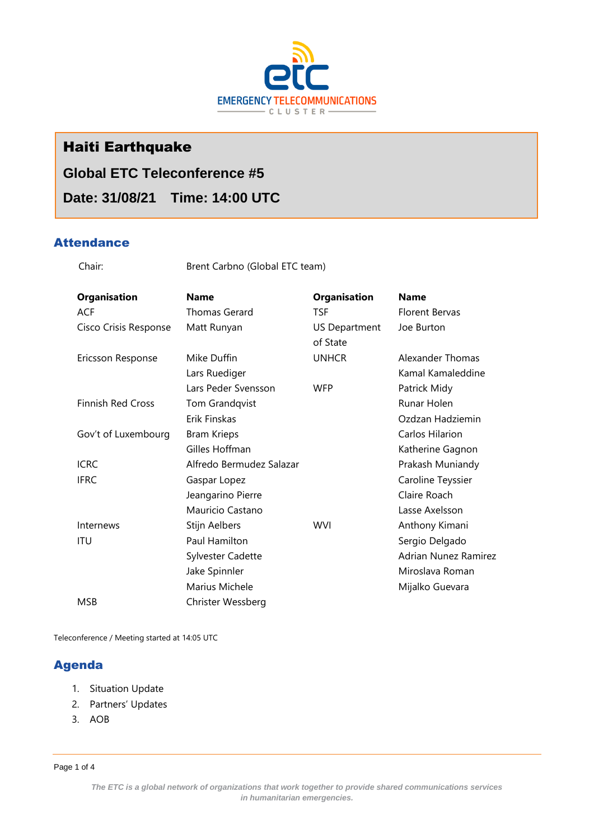

# Haiti Earthquake

# **Global ETC Teleconference #5**

# **Date: 31/08/21 Time: 14:00 UTC**

## **Attendance**

Chair: Brent Carbno (Global ETC team)

| <b>Organisation</b>      | <b>Name</b>              | <b>Organisation</b>  | <b>Name</b>          |
|--------------------------|--------------------------|----------------------|----------------------|
| <b>ACF</b>               | <b>Thomas Gerard</b>     | <b>TSF</b>           | Florent Bervas       |
| Cisco Crisis Response    | Matt Runyan              | <b>US Department</b> | Joe Burton           |
|                          |                          | of State             |                      |
| Ericsson Response        | Mike Duffin              | <b>UNHCR</b>         | Alexander Thomas     |
|                          | Lars Ruediger            |                      | Kamal Kamaleddine    |
|                          | Lars Peder Svensson      | <b>WFP</b>           | Patrick Midy         |
| <b>Finnish Red Cross</b> | Tom Grandqvist           |                      | Runar Holen          |
|                          | Erik Finskas             |                      | Ozdzan Hadziemin     |
| Gov't of Luxembourg      | <b>Bram Krieps</b>       |                      | Carlos Hilarion      |
|                          | Gilles Hoffman           |                      | Katherine Gagnon     |
| <b>ICRC</b>              | Alfredo Bermudez Salazar |                      | Prakash Muniandy     |
| <b>IFRC</b>              | Gaspar Lopez             |                      | Caroline Teyssier    |
|                          | Jeangarino Pierre        |                      | Claire Roach         |
|                          | Mauricio Castano         |                      | Lasse Axelsson       |
| Internews                | Stijn Aelbers            | <b>WVI</b>           | Anthony Kimani       |
| ITU                      | Paul Hamilton            |                      | Sergio Delgado       |
|                          | <b>Sylvester Cadette</b> |                      | Adrian Nunez Ramirez |
|                          | Jake Spinnler            |                      | Miroslava Roman      |
|                          | Marius Michele           |                      | Mijalko Guevara      |
| <b>MSB</b>               | Christer Wessberg        |                      |                      |

Teleconference / Meeting started at 14:05 UTC

## Agenda

- 1. Situation Update
- 2. Partners' Updates
- 3. AOB

Page 1 of 4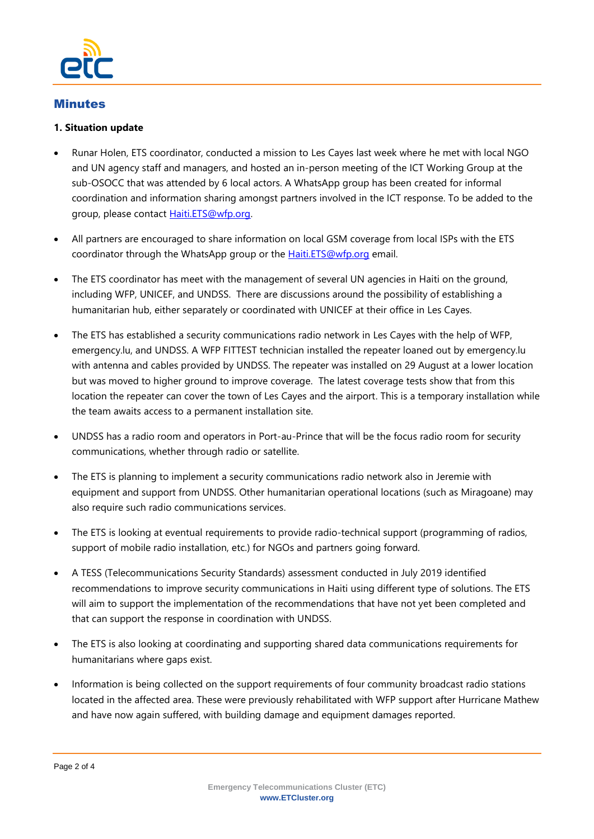

### Minutes

#### **1. Situation update**

- Runar Holen, ETS coordinator, conducted a mission to Les Cayes last week where he met with local NGO and UN agency staff and managers, and hosted an in-person meeting of the ICT Working Group at the sub-OSOCC that was attended by 6 local actors. A WhatsApp group has been created for informal coordination and information sharing amongst partners involved in the ICT response. To be added to the group, please contact [Haiti.ETS@wfp.org.](mailto:Haiti.ETS@wfp.org)
- All partners are encouraged to share information on local GSM coverage from local ISPs with the ETS coordinator through the WhatsApp group or the **Haiti.ETS@wfp.org** email.
- The ETS coordinator has meet with the management of several UN agencies in Haiti on the ground, including WFP, UNICEF, and UNDSS. There are discussions around the possibility of establishing a humanitarian hub, either separately or coordinated with UNICEF at their office in Les Cayes.
- The ETS has established a security communications radio network in Les Cayes with the help of WFP, emergency.lu, and UNDSS. A WFP FITTEST technician installed the repeater loaned out by emergency.lu with antenna and cables provided by UNDSS. The repeater was installed on 29 August at a lower location but was moved to higher ground to improve coverage. The latest coverage tests show that from this location the repeater can cover the town of Les Cayes and the airport. This is a temporary installation while the team awaits access to a permanent installation site.
- UNDSS has a radio room and operators in Port-au-Prince that will be the focus radio room for security communications, whether through radio or satellite.
- The ETS is planning to implement a security communications radio network also in Jeremie with equipment and support from UNDSS. Other humanitarian operational locations (such as Miragoane) may also require such radio communications services.
- The ETS is looking at eventual requirements to provide radio-technical support (programming of radios, support of mobile radio installation, etc.) for NGOs and partners going forward.
- A TESS (Telecommunications Security Standards) assessment conducted in July 2019 identified recommendations to improve security communications in Haiti using different type of solutions. The ETS will aim to support the implementation of the recommendations that have not yet been completed and that can support the response in coordination with UNDSS.
- The ETS is also looking at coordinating and supporting shared data communications requirements for humanitarians where gaps exist.
- Information is being collected on the support requirements of four community broadcast radio stations located in the affected area. These were previously rehabilitated with WFP support after Hurricane Mathew and have now again suffered, with building damage and equipment damages reported.

Page 2 of 4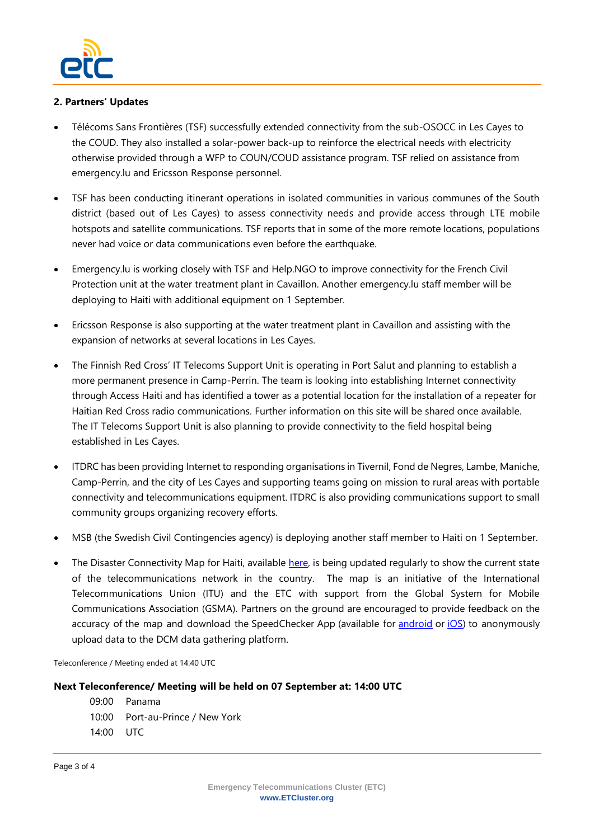

#### **2. Partners' Updates**

- Télécoms Sans Frontières (TSF) successfully extended connectivity from the sub-OSOCC in Les Cayes to the COUD. They also installed a solar-power back-up to reinforce the electrical needs with electricity otherwise provided through a WFP to COUN/COUD assistance program. TSF relied on assistance from emergency.lu and Ericsson Response personnel.
- TSF has been conducting itinerant operations in isolated communities in various communes of the South district (based out of Les Cayes) to assess connectivity needs and provide access through LTE mobile hotspots and satellite communications. TSF reports that in some of the more remote locations, populations never had voice or data communications even before the earthquake.
- Emergency.lu is working closely with TSF and Help.NGO to improve connectivity for the French Civil Protection unit at the water treatment plant in Cavaillon. Another emergency.lu staff member will be deploying to Haiti with additional equipment on 1 September.
- Ericsson Response is also supporting at the water treatment plant in Cavaillon and assisting with the expansion of networks at several locations in Les Cayes.
- The Finnish Red Cross' IT Telecoms Support Unit is operating in Port Salut and planning to establish a more permanent presence in Camp-Perrin. The team is looking into establishing Internet connectivity through Access Haiti and has identified a tower as a potential location for the installation of a repeater for Haitian Red Cross radio communications. Further information on this site will be shared once available. The IT Telecoms Support Unit is also planning to provide connectivity to the field hospital being established in Les Cayes.
- ITDRC has been providing Internet to responding organisations in Tivernil, Fond de Negres, Lambe, Maniche, Camp-Perrin, and the city of Les Cayes and supporting teams going on mission to rural areas with portable connectivity and telecommunications equipment. ITDRC is also providing communications support to small community groups organizing recovery efforts.
- MSB (the Swedish Civil Contingencies agency) is deploying another staff member to Haiti on 1 September.
- The Disaster Connectivity Map for Haiti, available [here,](https://www.itu.int/itu-d/tnd-map-public/dcm/) is being updated regularly to show the current state of the telecommunications network in the country. The map is an initiative of the International Telecommunications Union (ITU) and the ETC with support from the Global System for Mobile Communications Association (GSMA). Partners on the ground are encouraged to provide feedback on the accuracy of the map and download the SpeedChecker App (available for [android](https://play.google.com/store/apps/details?id=uk.co.broadbandspeedchecker&hl=en) or [iOS\)](https://apps.apple.com/gb/app/speed-checker/id658790195) to anonymously upload data to the DCM data gathering platform.

Teleconference / Meeting ended at 14:40 UTC

#### **Next Teleconference/ Meeting will be held on 07 September at: 14:00 UTC**

- 09:00 Panama
- 10:00 Port-au-Prince / New York
- 14:00 UTC